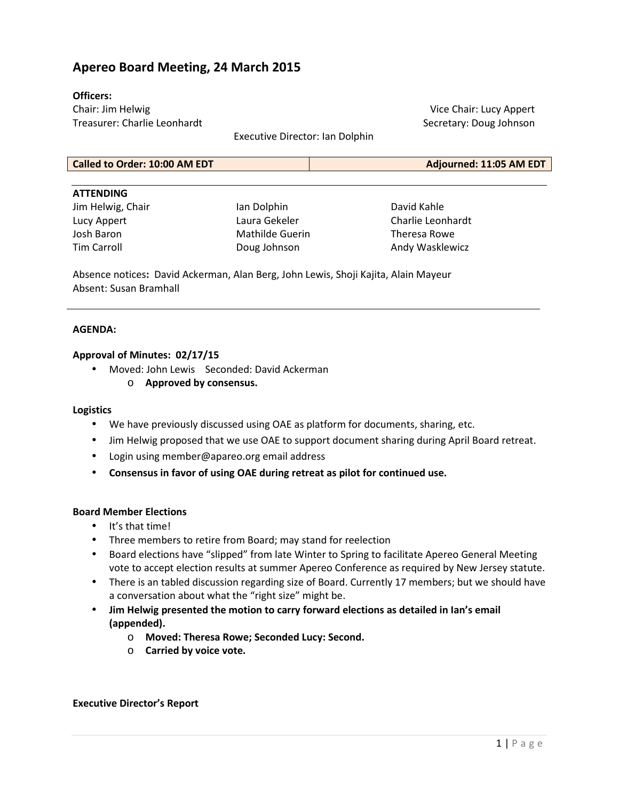# **Apereo Board Meeting, 24 March 2015**

### **Officers:**

Chair: Jim Helwig Treasurer: Charlie Leonhardt

Vice Chair: Lucy Appert Secretary: Doug Johnson

Executive Director: Ian Dolphin

| <b>Called to Order: 10:00 AM EDT</b> | Adjourned: 11:05 AM EDT |
|--------------------------------------|-------------------------|

#### **ATTENDING**

Jim Helwig, Chair Lucy Appert Josh Baron Tim Carroll

Ian Dolphin Laura Gekeler Mathilde Guerin Doug Johnson

David Kahle Charlie Leonhardt Theresa Rowe Andy Wasklewicz

Absence notices**:** David Ackerman, Alan Berg, John Lewis, Shoji Kajita, Alain Mayeur Absent: Susan Bramhall

### **AGENDA:**

### **Approval of Minutes: 02/17/15**

- Moved: John Lewis Seconded: David Ackerman
	- o **Approved by consensus.**

#### **Logistics**

- We have previously discussed using OAE as platform for documents, sharing, etc.
- Jim Helwig proposed that we use OAE to support document sharing during April Board retreat.
- Login using member@apareo.org email address
- **Consensus in favor of using OAE during retreat as pilot for continued use.**

#### **Board Member Elections**

- It's that time!
- Three members to retire from Board; may stand for reelection
- Board elections have "slipped" from late Winter to Spring to facilitate Apereo General Meeting vote to accept election results at summer Apereo Conference as required by New Jersey statute.
- There is an tabled discussion regarding size of Board. Currently 17 members; but we should have a conversation about what the "right size" might be.
- **Jim Helwig presented the motion to carry forward elections as detailed in Ian's email (appended).** 
	- o **Moved: Theresa Rowe; Seconded Lucy: Second.**
	- o **Carried by voice vote.**

#### **Executive Director's Report**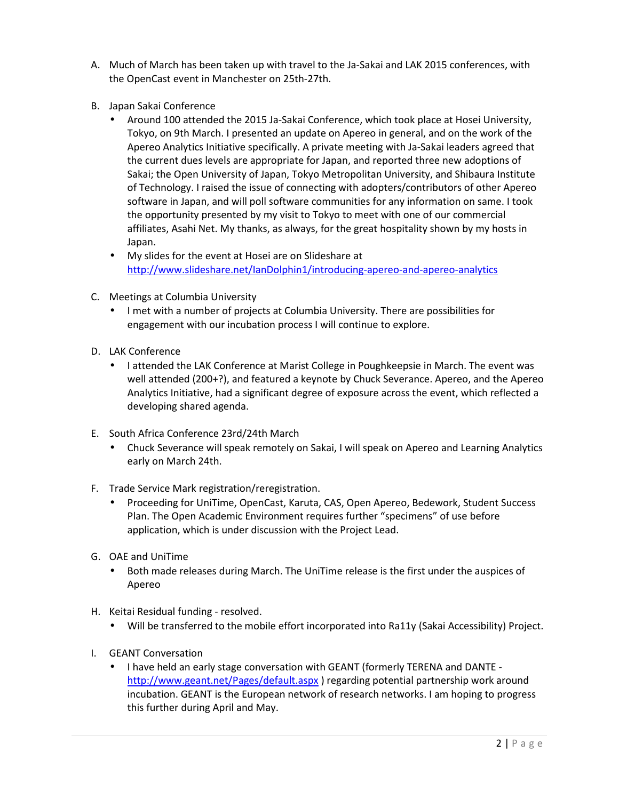- A. Much of March has been taken up with travel to the Ja-Sakai and LAK 2015 conferences, with the OpenCast event in Manchester on 25th-27th.
- B. Japan Sakai Conference
	- Around 100 attended the 2015 Ja-Sakai Conference, which took place at Hosei University, Tokyo, on 9th March. I presented an update on Apereo in general, and on the work of the Apereo Analytics Initiative specifically. A private meeting with Ja-Sakai leaders agreed that the current dues levels are appropriate for Japan, and reported three new adoptions of Sakai; the Open University of Japan, Tokyo Metropolitan University, and Shibaura Institute of Technology. I raised the issue of connecting with adopters/contributors of other Apereo software in Japan, and will poll software communities for any information on same. I took the opportunity presented by my visit to Tokyo to meet with one of our commercial affiliates, Asahi Net. My thanks, as always, for the great hospitality shown by my hosts in Japan.
	- My slides for the event at Hosei are on Slideshare at http://www.slideshare.net/IanDolphin1/introducing-apereo-and-apereo-analytics
- C. Meetings at Columbia University
	- I met with a number of projects at Columbia University. There are possibilities for engagement with our incubation process I will continue to explore.
- D. LAK Conference
	- I attended the LAK Conference at Marist College in Poughkeepsie in March. The event was well attended (200+?), and featured a keynote by Chuck Severance. Apereo, and the Apereo Analytics Initiative, had a significant degree of exposure across the event, which reflected a developing shared agenda.
- E. South Africa Conference 23rd/24th March
	- Chuck Severance will speak remotely on Sakai, I will speak on Apereo and Learning Analytics early on March 24th.
- F. Trade Service Mark registration/reregistration.
	- Proceeding for UniTime, OpenCast, Karuta, CAS, Open Apereo, Bedework, Student Success Plan. The Open Academic Environment requires further "specimens" of use before application, which is under discussion with the Project Lead.
- G. OAE and UniTime
	- Both made releases during March. The UniTime release is the first under the auspices of Apereo
- H. Keitai Residual funding resolved.
	- Will be transferred to the mobile effort incorporated into Ra11y (Sakai Accessibility) Project.
- I. GEANT Conversation
	- I have held an early stage conversation with GEANT (formerly TERENA and DANTE http://www.geant.net/Pages/default.aspx ) regarding potential partnership work around incubation. GEANT is the European network of research networks. I am hoping to progress this further during April and May.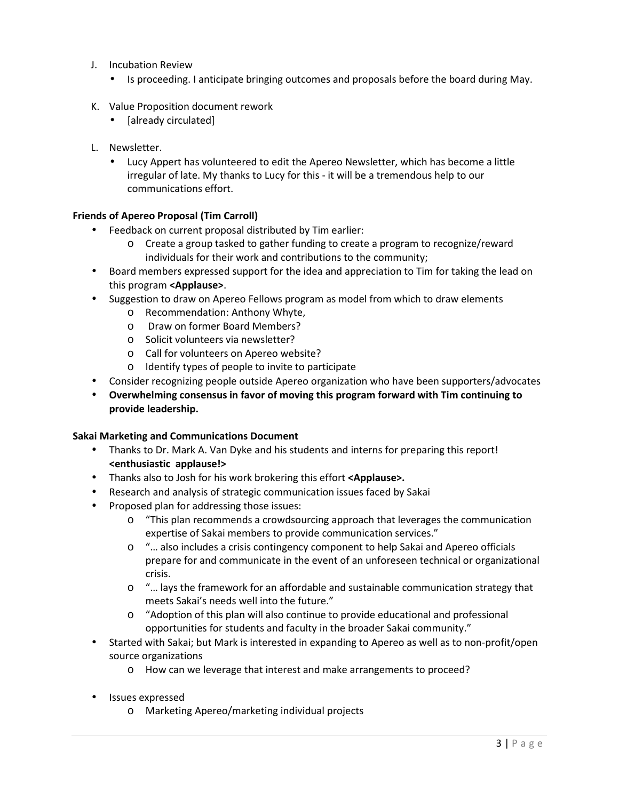- J. Incubation Review
	- Is proceeding. I anticipate bringing outcomes and proposals before the board during May.
- K. Value Proposition document rework
	- [already circulated]
- L. Newsletter.
	- Lucy Appert has volunteered to edit the Apereo Newsletter, which has become a little irregular of late. My thanks to Lucy for this - it will be a tremendous help to our communications effort.

## **Friends of Apereo Proposal (Tim Carroll)**

- Feedback on current proposal distributed by Tim earlier:
	- o Create a group tasked to gather funding to create a program to recognize/reward individuals for their work and contributions to the community;
- Board members expressed support for the idea and appreciation to Tim for taking the lead on this program **<Applause>**.
- Suggestion to draw on Apereo Fellows program as model from which to draw elements
	- o Recommendation: Anthony Whyte,
	- o Draw on former Board Members?
	- o Solicit volunteers via newsletter?
	- o Call for volunteers on Apereo website?
	- o Identify types of people to invite to participate
- Consider recognizing people outside Apereo organization who have been supporters/advocates
- **Overwhelming consensus in favor of moving this program forward with Tim continuing to provide leadership.**

## **Sakai Marketing and Communications Document**

- Thanks to Dr. Mark A. Van Dyke and his students and interns for preparing this report! **<enthusiastic applause!>**
- Thanks also to Josh for his work brokering this effort **<Applause>.**
- Research and analysis of strategic communication issues faced by Sakai
- Proposed plan for addressing those issues:
	- o "This plan recommends a crowdsourcing approach that leverages the communication expertise of Sakai members to provide communication services."
	- o "… also includes a crisis contingency component to help Sakai and Apereo officials prepare for and communicate in the event of an unforeseen technical or organizational crisis.
	- o "… lays the framework for an affordable and sustainable communication strategy that meets Sakai's needs well into the future."
	- $\circ$  "Adoption of this plan will also continue to provide educational and professional opportunities for students and faculty in the broader Sakai community."
- Started with Sakai; but Mark is interested in expanding to Apereo as well as to non-profit/open source organizations
	- o How can we leverage that interest and make arrangements to proceed?
- Issues expressed
	- o Marketing Apereo/marketing individual projects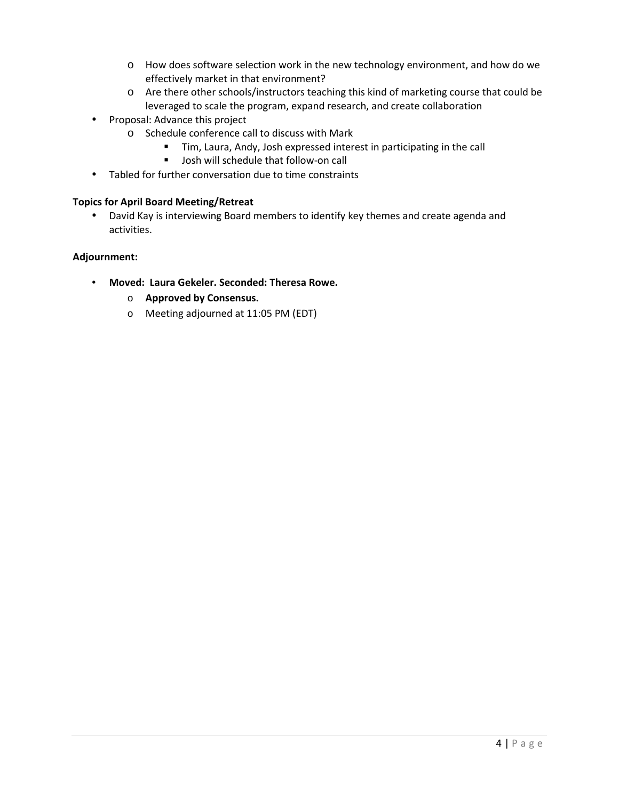- o How does software selection work in the new technology environment, and how do we effectively market in that environment?
- o Are there other schools/instructors teaching this kind of marketing course that could be leveraged to scale the program, expand research, and create collaboration
- Proposal: Advance this project
	- o Schedule conference call to discuss with Mark
		- Tim, Laura, Andy, Josh expressed interest in participating in the call
		- **Josh will schedule that follow-on call**
- Tabled for further conversation due to time constraints

# **Topics for April Board Meeting/Retreat**

• David Kay is interviewing Board members to identify key themes and create agenda and activities.

# **Adjournment:**

- **Moved: Laura Gekeler. Seconded: Theresa Rowe.** 
	- o **Approved by Consensus.**
	- o Meeting adjourned at 11:05 PM (EDT)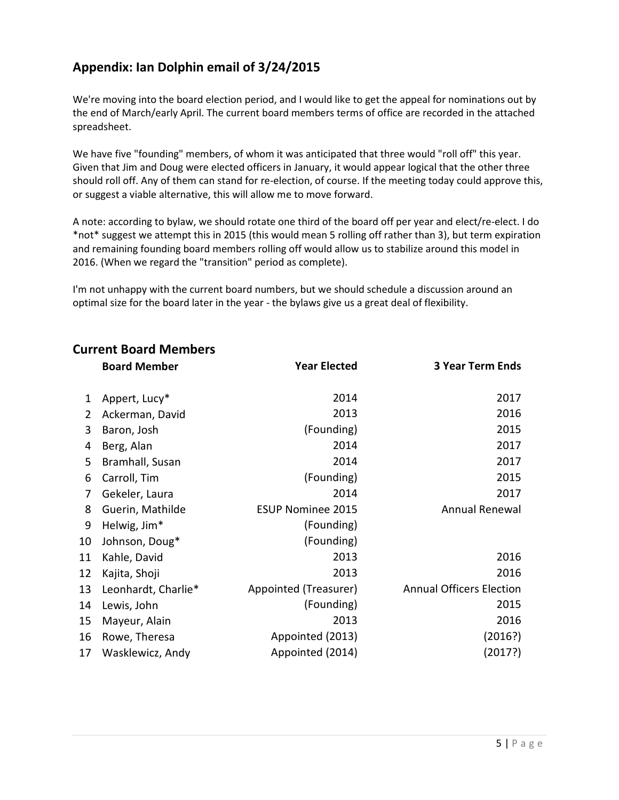# **Appendix: Ian Dolphin email of 3/24/2015**

We're moving into the board election period, and I would like to get the appeal for nominations out by the end of March/early April. The current board members terms of office are recorded in the attached spreadsheet.

We have five "founding" members, of whom it was anticipated that three would "roll off" this year. Given that Jim and Doug were elected officers in January, it would appear logical that the other three should roll off. Any of them can stand for re-election, of course. If the meeting today could approve this, or suggest a viable alternative, this will allow me to move forward.

A note: according to bylaw, we should rotate one third of the board off per year and elect/re-elect. I do \*not\* suggest we attempt this in 2015 (this would mean 5 rolling off rather than 3), but term expiration and remaining founding board members rolling off would allow us to stabilize around this model in 2016. (When we regard the "transition" period as complete).

I'm not unhappy with the current board numbers, but we should schedule a discussion around an optimal size for the board later in the year - the bylaws give us a great deal of flexibility.

|    | <b>Board Member</b> | <b>Year Elected</b>      | <b>3 Year Term Ends</b>         |
|----|---------------------|--------------------------|---------------------------------|
| 1  | Appert, Lucy*       | 2014                     | 2017                            |
| 2  | Ackerman, David     | 2013                     | 2016                            |
| 3  | Baron, Josh         | (Founding)               | 2015                            |
| 4  | Berg, Alan          | 2014                     | 2017                            |
| 5  | Bramhall, Susan     | 2014                     | 2017                            |
| 6  | Carroll, Tim        | (Founding)               | 2015                            |
| 7  | Gekeler, Laura      | 2014                     | 2017                            |
| 8  | Guerin, Mathilde    | <b>ESUP Nominee 2015</b> | <b>Annual Renewal</b>           |
| 9  | Helwig, Jim*        | (Founding)               |                                 |
| 10 | Johnson, Doug*      | (Founding)               |                                 |
| 11 | Kahle, David        | 2013                     | 2016                            |
| 12 | Kajita, Shoji       | 2013                     | 2016                            |
| 13 | Leonhardt, Charlie* | Appointed (Treasurer)    | <b>Annual Officers Election</b> |
| 14 | Lewis, John         | (Founding)               | 2015                            |
| 15 | Mayeur, Alain       | 2013                     | 2016                            |
| 16 | Rowe, Theresa       | Appointed (2013)         | (2016?)                         |
| 17 | Wasklewicz, Andy    | Appointed (2014)         | (2017?)                         |

# **Current Board Members**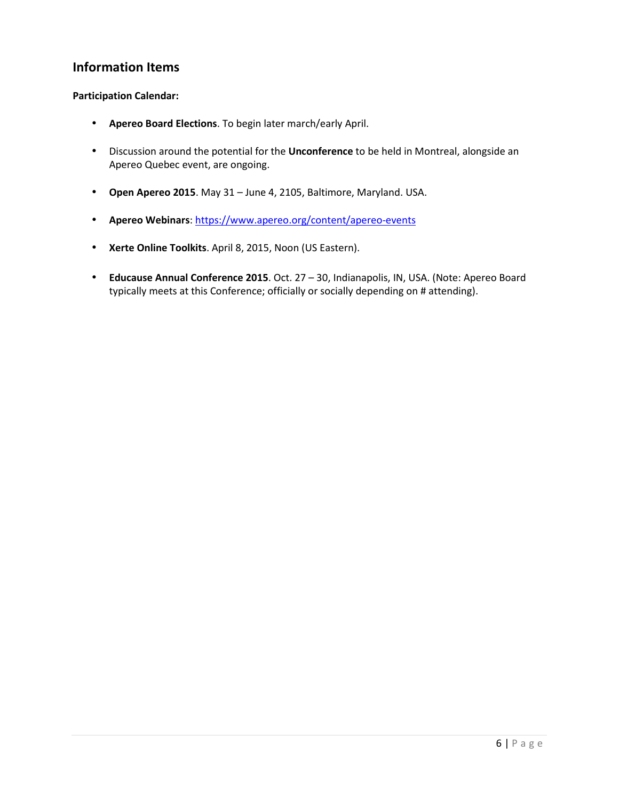# **Information Items**

## **Participation Calendar:**

- **Apereo Board Elections**. To begin later march/early April.
- Discussion around the potential for the **Unconference** to be held in Montreal, alongside an Apereo Quebec event, are ongoing.
- **Open Apereo 2015**. May 31 June 4, 2105, Baltimore, Maryland. USA.
- **Apereo Webinars**: https://www.apereo.org/content/apereo-events
- **Xerte Online Toolkits**. April 8, 2015, Noon (US Eastern).
- **Educause Annual Conference 2015**. Oct. 27 30, Indianapolis, IN, USA. (Note: Apereo Board typically meets at this Conference; officially or socially depending on # attending).